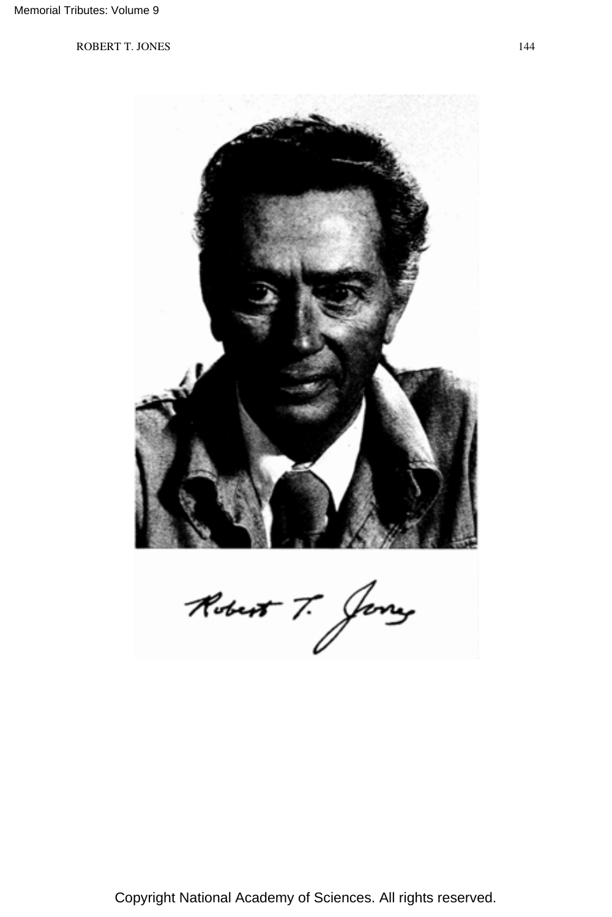

Copyright National Academy of Sciences. All rights reserved.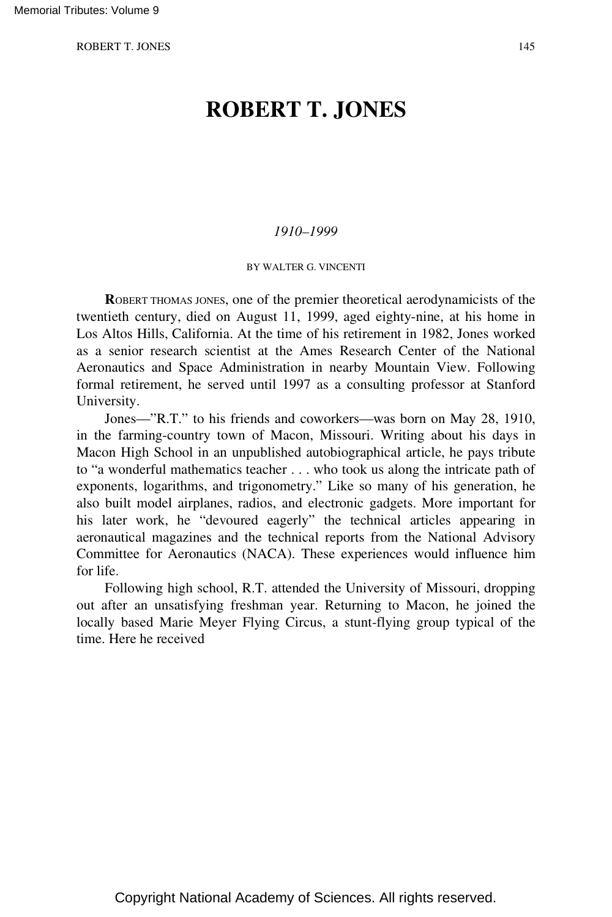# **ROBERT T. JONES**

## *1910–1999*

BY WALTER G. VINCENTI

**R**OBERT THOMAS JONES, one of the premier theoretical aerodynamicists of the twentieth century, died on August 11, 1999, aged eighty-nine, at his home in Los Altos Hills, California. At the time of his retirement in 1982, Jones worked as a senior research scientist at the Ames Research Center of the National Aeronautics and Space Administration in nearby Mountain View. Following formal retirement, he served until 1997 as a consulting professor at Stanford University.

Jones—"R.T." to his friends and coworkers—was born on May 28, 1910, in the farming-country town of Macon, Missouri. Writing about his days in Macon High School in an unpublished autobiographical article, he pays tribute to "a wonderful mathematics teacher . . . who took us along the intricate path of exponents, logarithms, and trigonometry." Like so many of his generation, he also built model airplanes, radios, and electronic gadgets. More important for his later work, he "devoured eagerly" the technical articles appearing in aeronautical magazines and the technical reports from the National Advisory Committee for Aeronautics (NACA). These experiences would influence him for life.

Following high school, R.T. attended the University of Missouri, dropping out after an unsatisfying freshman year. Returning to Macon, he joined the locally based Marie Meyer Flying Circus, a stunt-flying group typical of the time. Here he received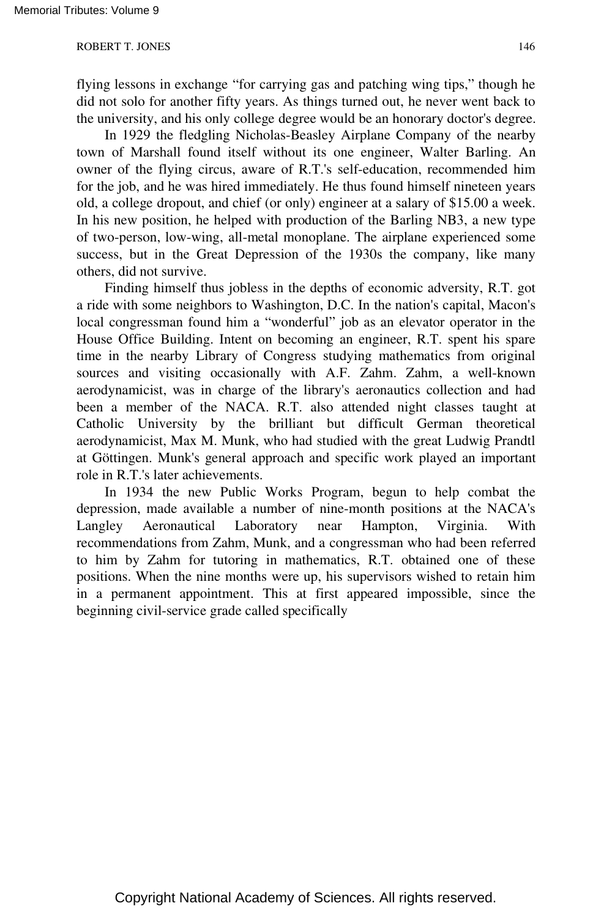flying lessons in exchange "for carrying gas and patching wing tips," though he did not solo for another fifty years. As things turned out, he never went back to the university, and his only college degree would be an honorary doctor's degree.

In 1929 the fledgling Nicholas-Beasley Airplane Company of the nearby town of Marshall found itself without its one engineer, Walter Barling. An owner of the flying circus, aware of R.T.'s self-education, recommended him for the job, and he was hired immediately. He thus found himself nineteen years old, a college dropout, and chief (or only) engineer at a salary of \$15.00 a week. In his new position, he helped with production of the Barling NB3, a new type of two-person, low-wing, all-metal monoplane. The airplane experienced some success, but in the Great Depression of the 1930s the company, like many others, did not survive.

Finding himself thus jobless in the depths of economic adversity, R.T. got a ride with some neighbors to Washington, D.C. In the nation's capital, Macon's local congressman found him a "wonderful" job as an elevator operator in the House Office Building. Intent on becoming an engineer, R.T. spent his spare time in the nearby Library of Congress studying mathematics from original sources and visiting occasionally with A.F. Zahm. Zahm, a well-known aerodynamicist, was in charge of the library's aeronautics collection and had been a member of the NACA. R.T. also attended night classes taught at Catholic University by the brilliant but difficult German theoretical aerodynamicist, Max M. Munk, who had studied with the great Ludwig Prandtl at Göttingen. Munk's general approach and specific work played an important role in R.T.'s later achievements.

In 1934 the new Public Works Program, begun to help combat the depression, made available a number of nine-month positions at the NACA's Langley Aeronautical Laboratory near Hampton, Virginia. With recommendations from Zahm, Munk, and a congressman who had been referred to him by Zahm for tutoring in mathematics, R.T. obtained one of these positions. When the nine months were up, his supervisors wished to retain him in a permanent appointment. This at first appeared impossible, since the beginning civil-service grade called specifically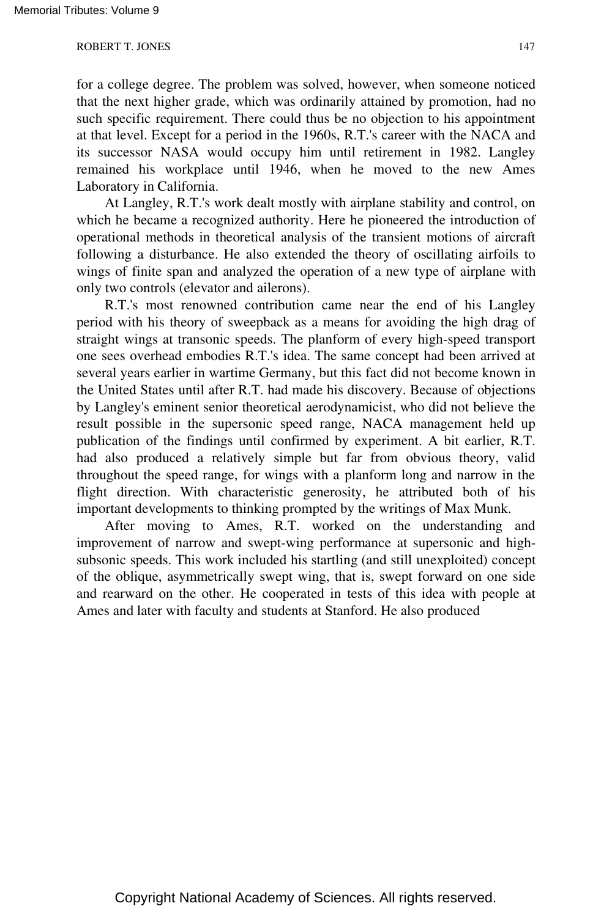for a college degree. The problem was solved, however, when someone noticed that the next higher grade, which was ordinarily attained by promotion, had no such specific requirement. There could thus be no objection to his appointment at that level. Except for a period in the 1960s, R.T.'s career with the NACA and its successor NASA would occupy him until retirement in 1982. Langley remained his workplace until 1946, when he moved to the new Ames Laboratory in California.

At Langley, R.T.'s work dealt mostly with airplane stability and control, on which he became a recognized authority. Here he pioneered the introduction of operational methods in theoretical analysis of the transient motions of aircraft following a disturbance. He also extended the theory of oscillating airfoils to wings of finite span and analyzed the operation of a new type of airplane with only two controls (elevator and ailerons).

R.T.'s most renowned contribution came near the end of his Langley period with his theory of sweepback as a means for avoiding the high drag of straight wings at transonic speeds. The planform of every high-speed transport one sees overhead embodies R.T.'s idea. The same concept had been arrived at several years earlier in wartime Germany, but this fact did not become known in the United States until after R.T. had made his discovery. Because of objections by Langley's eminent senior theoretical aerodynamicist, who did not believe the result possible in the supersonic speed range, NACA management held up publication of the findings until confirmed by experiment. A bit earlier, R.T. had also produced a relatively simple but far from obvious theory, valid throughout the speed range, for wings with a planform long and narrow in the flight direction. With characteristic generosity, he attributed both of his important developments to thinking prompted by the writings of Max Munk.

After moving to Ames, R.T. worked on the understanding and improvement of narrow and swept-wing performance at supersonic and highsubsonic speeds. This work included his startling (and still unexploited) concept of the oblique, asymmetrically swept wing, that is, swept forward on one side and rearward on the other. He cooperated in tests of this idea with people at Ames and later with faculty and students at Stanford. He also produced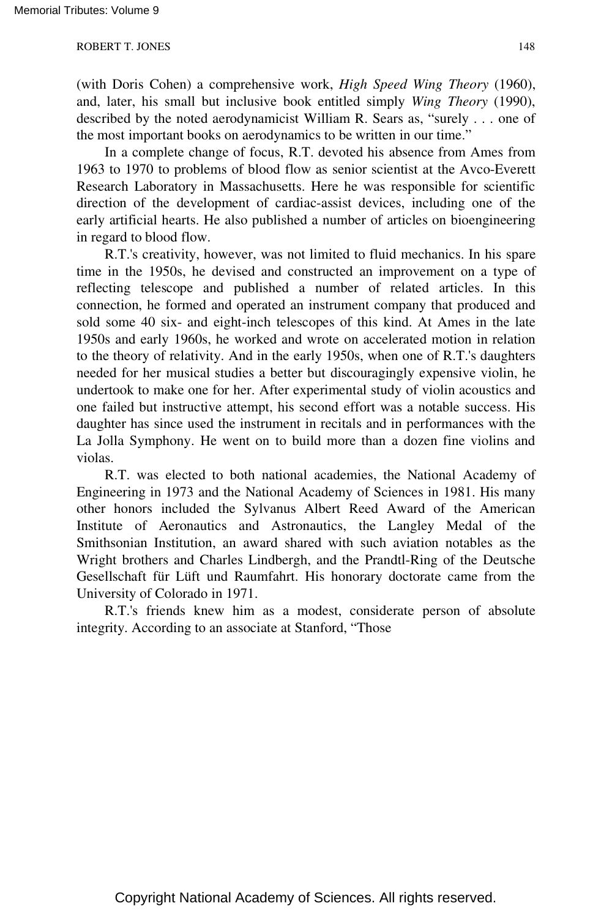(with Doris Cohen) a comprehensive work, *High Speed Wing Theory* (1960), and, later, his small but inclusive book entitled simply *Wing Theory* (1990), described by the noted aerodynamicist William R. Sears as, "surely . . . one of the most important books on aerodynamics to be written in our time."

In a complete change of focus, R.T. devoted his absence from Ames from 1963 to 1970 to problems of blood flow as senior scientist at the Avco-Everett Research Laboratory in Massachusetts. Here he was responsible for scientific direction of the development of cardiac-assist devices, including one of the early artificial hearts. He also published a number of articles on bioengineering in regard to blood flow.

R.T.'s creativity, however, was not limited to fluid mechanics. In his spare time in the 1950s, he devised and constructed an improvement on a type of reflecting telescope and published a number of related articles. In this connection, he formed and operated an instrument company that produced and sold some 40 six- and eight-inch telescopes of this kind. At Ames in the late 1950s and early 1960s, he worked and wrote on accelerated motion in relation to the theory of relativity. And in the early 1950s, when one of R.T.'s daughters needed for her musical studies a better but discouragingly expensive violin, he undertook to make one for her. After experimental study of violin acoustics and one failed but instructive attempt, his second effort was a notable success. His daughter has since used the instrument in recitals and in performances with the La Jolla Symphony. He went on to build more than a dozen fine violins and violas.

R.T. was elected to both national academies, the National Academy of Engineering in 1973 and the National Academy of Sciences in 1981. His many other honors included the Sylvanus Albert Reed Award of the American Institute of Aeronautics and Astronautics, the Langley Medal of the Smithsonian Institution, an award shared with such aviation notables as the Wright brothers and Charles Lindbergh, and the Prandtl-Ring of the Deutsche Gesellschaft für Lüft und Raumfahrt. His honorary doctorate came from the University of Colorado in 1971.

R.T.'s friends knew him as a modest, considerate person of absolute integrity. According to an associate at Stanford, "Those